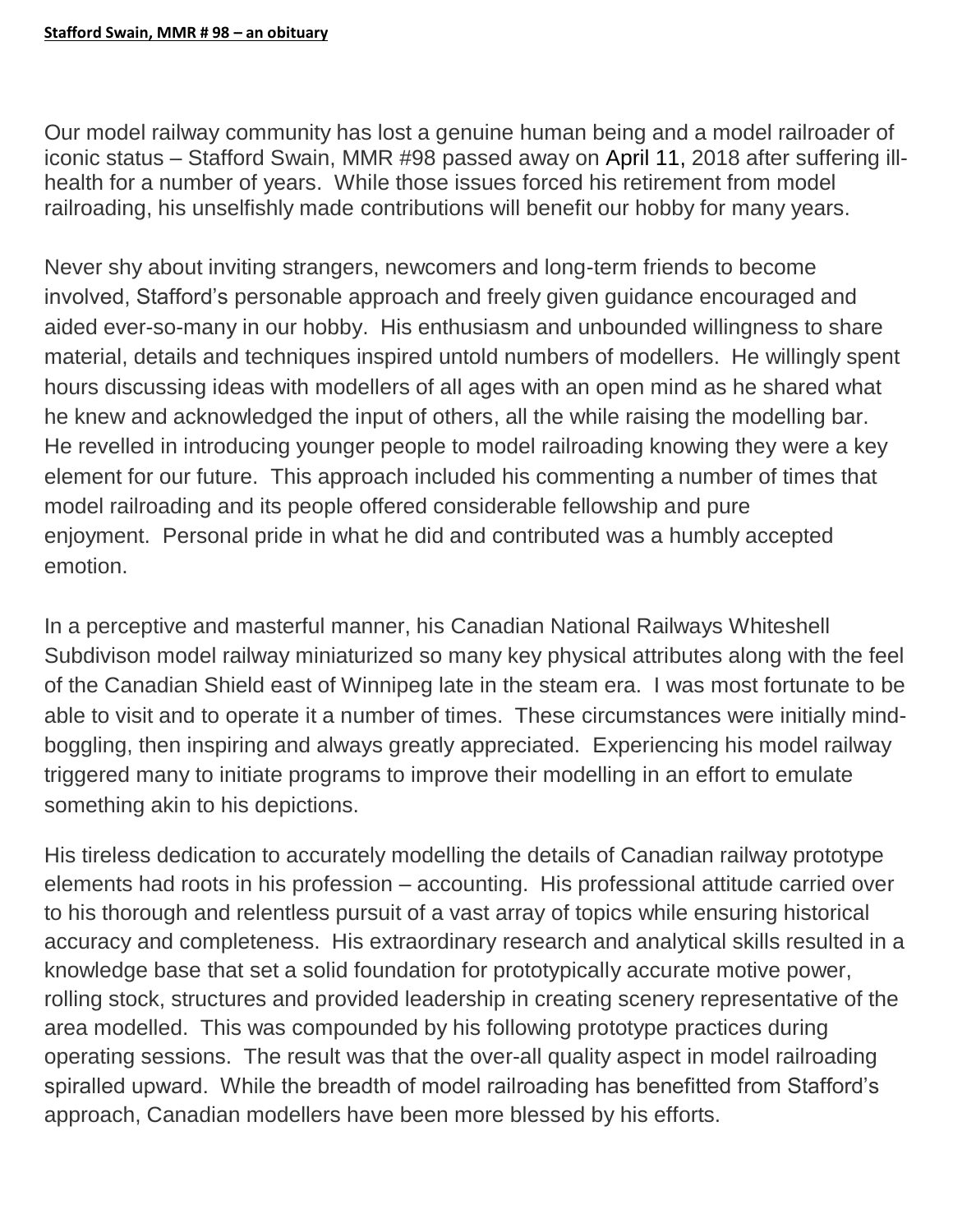Our model railway community has lost a genuine human being and a model railroader of iconic status – Stafford Swain, MMR #98 passed away on April 11, 2018 after suffering illhealth for a number of years. While those issues forced his retirement from model railroading, his unselfishly made contributions will benefit our hobby for many years.

Never shy about inviting strangers, newcomers and long-term friends to become involved, Stafford's personable approach and freely given guidance encouraged and aided ever-so-many in our hobby. His enthusiasm and unbounded willingness to share material, details and techniques inspired untold numbers of modellers. He willingly spent hours discussing ideas with modellers of all ages with an open mind as he shared what he knew and acknowledged the input of others, all the while raising the modelling bar. He revelled in introducing younger people to model railroading knowing they were a key element for our future. This approach included his commenting a number of times that model railroading and its people offered considerable fellowship and pure enjoyment. Personal pride in what he did and contributed was a humbly accepted emotion.

In a perceptive and masterful manner, his Canadian National Railways Whiteshell Subdivison model railway miniaturized so many key physical attributes along with the feel of the Canadian Shield east of Winnipeg late in the steam era. I was most fortunate to be able to visit and to operate it a number of times. These circumstances were initially mindboggling, then inspiring and always greatly appreciated. Experiencing his model railway triggered many to initiate programs to improve their modelling in an effort to emulate something akin to his depictions.

His tireless dedication to accurately modelling the details of Canadian railway prototype elements had roots in his profession – accounting. His professional attitude carried over to his thorough and relentless pursuit of a vast array of topics while ensuring historical accuracy and completeness. His extraordinary research and analytical skills resulted in a knowledge base that set a solid foundation for prototypically accurate motive power, rolling stock, structures and provided leadership in creating scenery representative of the area modelled. This was compounded by his following prototype practices during operating sessions. The result was that the over-all quality aspect in model railroading spiralled upward. While the breadth of model railroading has benefitted from Stafford's approach, Canadian modellers have been more blessed by his efforts.